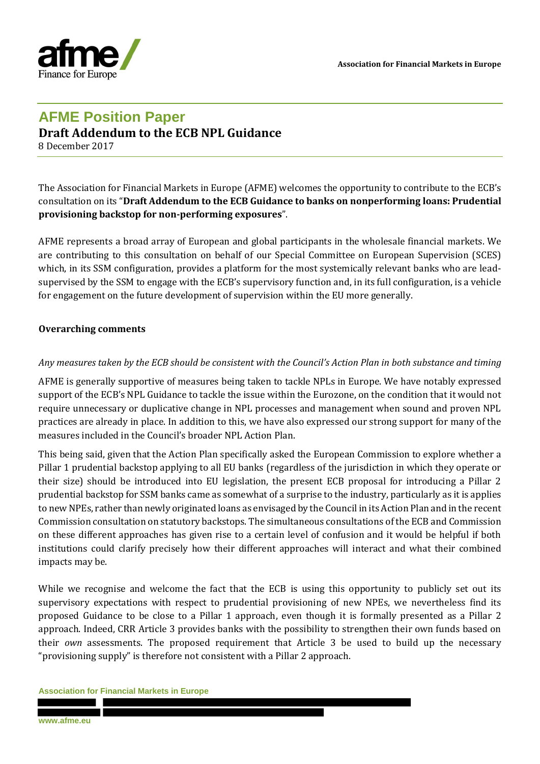**Association for Financial Markets in Europe**



# **AFME Position Paper Draft Addendum to the ECB NPL Guidance**

8 December 2017

The Association for Financial Markets in Europe (AFME) welcomes the opportunity to contribute to the ECB's consultation on its "**Draft Addendum to the ECB Guidance to banks on nonperforming loans: Prudential provisioning backstop for non-performing exposures**".

AFME represents a broad array of European and global participants in the wholesale financial markets. We are contributing to this consultation on behalf of our Special Committee on European Supervision (SCES) which, in its SSM configuration, provides a platform for the most systemically relevant banks who are leadsupervised by the SSM to engage with the ECB's supervisory function and, in its full configuration, is a vehicle for engagement on the future development of supervision within the EU more generally.

#### **Overarching comments**

#### *Any measures taken by the ECB should be consistent with the Council's Action Plan in both substance and timing*

AFME is generally supportive of measures being taken to tackle NPLs in Europe. We have notably expressed support of the ECB's NPL Guidance to tackle the issue within the Eurozone, on the condition that it would not require unnecessary or duplicative change in NPL processes and management when sound and proven NPL practices are already in place. In addition to this, we have also expressed our strong support for many of the measures included in the Council's broader NPL Action Plan.

This being said, given that the Action Plan specifically asked the European Commission to explore whether a Pillar 1 prudential backstop applying to all EU banks (regardless of the jurisdiction in which they operate or their size) should be introduced into EU legislation, the present ECB proposal for introducing a Pillar 2 prudential backstop for SSM banks came as somewhat of a surprise to the industry, particularly as it is applies to new NPEs, rather than newly originated loans as envisaged by the Council in its Action Plan and in the recent Commission consultation on statutory backstops. The simultaneous consultations of the ECB and Commission on these different approaches has given rise to a certain level of confusion and it would be helpful if both institutions could clarify precisely how their different approaches will interact and what their combined impacts may be.

While we recognise and welcome the fact that the ECB is using this opportunity to publicly set out its supervisory expectations with respect to prudential provisioning of new NPEs, we nevertheless find its proposed Guidance to be close to a Pillar 1 approach, even though it is formally presented as a Pillar 2 approach. Indeed, CRR Article 3 provides banks with the possibility to strengthen their own funds based on their *own* assessments. The proposed requirement that Article 3 be used to build up the necessary "provisioning supply" is therefore not consistent with a Pillar 2 approach.

#### **Association for Financial Markets in Europe**

**www.afme.eu**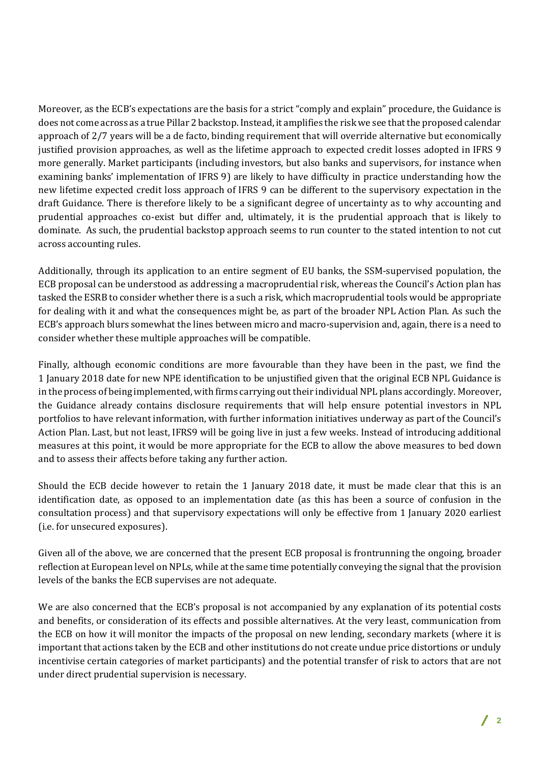Moreover, as the ECB's expectations are the basis for a strict "comply and explain" procedure, the Guidance is does not come across as a true Pillar 2 backstop. Instead, it amplifies the risk we see that the proposed calendar approach of 2/7 years will be a de facto, binding requirement that will override alternative but economically justified provision approaches, as well as the lifetime approach to expected credit losses adopted in IFRS 9 more generally. Market participants (including investors, but also banks and supervisors, for instance when examining banks' implementation of IFRS 9) are likely to have difficulty in practice understanding how the new lifetime expected credit loss approach of IFRS 9 can be different to the supervisory expectation in the draft Guidance. There is therefore likely to be a significant degree of uncertainty as to why accounting and prudential approaches co-exist but differ and, ultimately, it is the prudential approach that is likely to dominate. As such, the prudential backstop approach seems to run counter to the stated intention to not cut across accounting rules.

Additionally, through its application to an entire segment of EU banks, the SSM-supervised population, the ECB proposal can be understood as addressing a macroprudential risk, whereas the Council's Action plan has tasked the ESRB to consider whether there is a such a risk, which macroprudential tools would be appropriate for dealing with it and what the consequences might be, as part of the broader NPL Action Plan. As such the ECB's approach blurs somewhat the lines between micro and macro-supervision and, again, there is a need to consider whether these multiple approaches will be compatible.

Finally, although economic conditions are more favourable than they have been in the past, we find the 1 January 2018 date for new NPE identification to be unjustified given that the original ECB NPL Guidance is in the process of being implemented, with firms carrying out their individual NPL plans accordingly. Moreover, the Guidance already contains disclosure requirements that will help ensure potential investors in NPL portfolios to have relevant information, with further information initiatives underway as part of the Council's Action Plan. Last, but not least, IFRS9 will be going live in just a few weeks. Instead of introducing additional measures at this point, it would be more appropriate for the ECB to allow the above measures to bed down and to assess their affects before taking any further action.

Should the ECB decide however to retain the 1 January 2018 date, it must be made clear that this is an identification date, as opposed to an implementation date (as this has been a source of confusion in the consultation process) and that supervisory expectations will only be effective from 1 January 2020 earliest (i.e. for unsecured exposures).

Given all of the above, we are concerned that the present ECB proposal is frontrunning the ongoing, broader reflection at European level on NPLs, while at the same time potentially conveying the signal that the provision levels of the banks the ECB supervises are not adequate.

We are also concerned that the ECB's proposal is not accompanied by any explanation of its potential costs and benefits, or consideration of its effects and possible alternatives. At the very least, communication from the ECB on how it will monitor the impacts of the proposal on new lending, secondary markets (where it is important that actions taken by the ECB and other institutions do not create undue price distortions or unduly incentivise certain categories of market participants) and the potential transfer of risk to actors that are not under direct prudential supervision is necessary.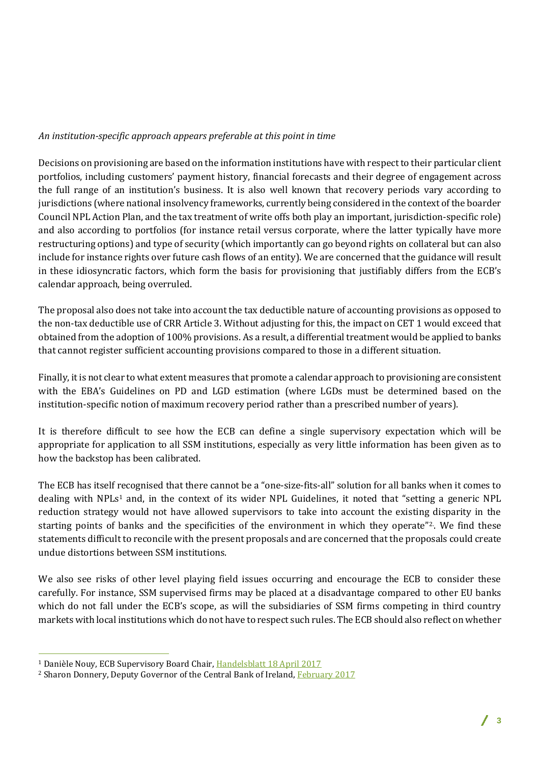### *An institution-specific approach appears preferable at this point in time*

Decisions on provisioning are based on the information institutions have with respect to their particular client portfolios, including customers' payment history, financial forecasts and their degree of engagement across the full range of an institution's business. It is also well known that recovery periods vary according to jurisdictions (where national insolvency frameworks, currently being considered in the context of the boarder Council NPL Action Plan, and the tax treatment of write offs both play an important, jurisdiction-specific role) and also according to portfolios (for instance retail versus corporate, where the latter typically have more restructuring options) and type of security (which importantly can go beyond rights on collateral but can also include for instance rights over future cash flows of an entity). We are concerned that the guidance will result in these idiosyncratic factors, which form the basis for provisioning that justifiably differs from the ECB's calendar approach, being overruled.

The proposal also does not take into account the tax deductible nature of accounting provisions as opposed to the non-tax deductible use of CRR Article 3. Without adjusting for this, the impact on CET 1 would exceed that obtained from the adoption of 100% provisions. As a result, a differential treatment would be applied to banks that cannot register sufficient accounting provisions compared to those in a different situation.

Finally, it is not clear to what extent measures that promote a calendar approach to provisioning are consistent with the EBA's Guidelines on PD and LGD estimation (where LGDs must be determined based on the institution-specific notion of maximum recovery period rather than a prescribed number of years).

It is therefore difficult to see how the ECB can define a single supervisory expectation which will be appropriate for application to all SSM institutions, especially as very little information has been given as to how the backstop has been calibrated.

The ECB has itself recognised that there cannot be a "one-size-fits-all" solution for all banks when it comes to dealing with NPLs<sup>1</sup> and, in the context of its wider NPL Guidelines, it noted that "setting a generic NPL reduction strategy would not have allowed supervisors to take into account the existing disparity in the starting points of banks and the specificities of the environment in which they operate"<sup>2</sup>. We find these statements difficult to reconcile with the present proposals and are concerned that the proposals could create undue distortions between SSM institutions.

We also see risks of other level playing field issues occurring and encourage the ECB to consider these carefully. For instance, SSM supervised firms may be placed at a disadvantage compared to other EU banks which do not fall under the ECB's scope, as will the subsidiaries of SSM firms competing in third country markets with local institutions which do not have to respect such rules. The ECB should also reflect on whether

 $\overline{a}$ 

<sup>1</sup> Danièle Nouy, ECB Supervisory Board Chair, Handelsblatt 18 April 2017

<sup>2</sup> Sharon Donnery, Deputy Governor of the Central Bank of Ireland, February 2017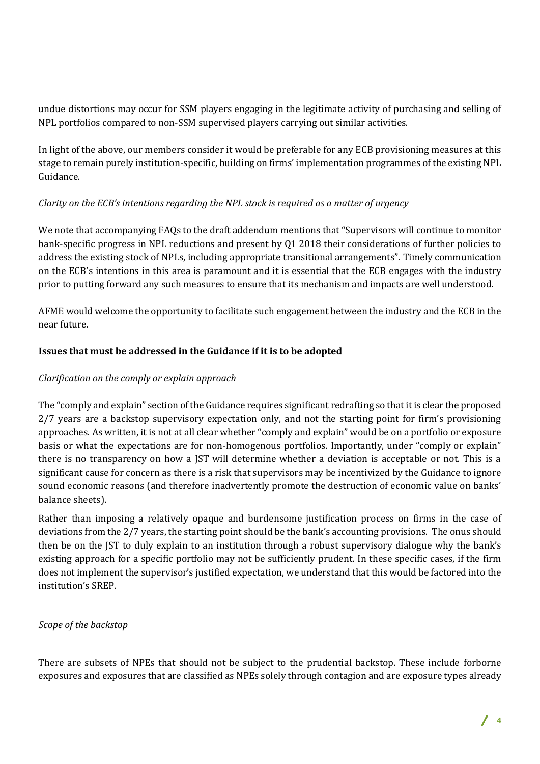undue distortions may occur for SSM players engaging in the legitimate activity of purchasing and selling of NPL portfolios compared to non-SSM supervised players carrying out similar activities.

In light of the above, our members consider it would be preferable for any ECB provisioning measures at this stage to remain purely institution-specific, building on firms' implementation programmes of the existing NPL Guidance.

## *Clarity on the ECB's intentions regarding the NPL stock is required as a matter of urgency*

We note that accompanying FAQs to the draft addendum mentions that "Supervisors will continue to monitor bank-specific progress in NPL reductions and present by Q1 2018 their considerations of further policies to address the existing stock of NPLs, including appropriate transitional arrangements". Timely communication on the ECB's intentions in this area is paramount and it is essential that the ECB engages with the industry prior to putting forward any such measures to ensure that its mechanism and impacts are well understood.

AFME would welcome the opportunity to facilitate such engagement between the industry and the ECB in the near future.

## **Issues that must be addressed in the Guidance if it is to be adopted**

# *Clarification on the comply or explain approach*

The "comply and explain" section of the Guidance requires significant redrafting so that it is clear the proposed 2/7 years are a backstop supervisory expectation only, and not the starting point for firm's provisioning approaches. As written, it is not at all clear whether "comply and explain" would be on a portfolio or exposure basis or what the expectations are for non-homogenous portfolios. Importantly, under "comply or explain" there is no transparency on how a JST will determine whether a deviation is acceptable or not. This is a significant cause for concern as there is a risk that supervisors may be incentivized by the Guidance to ignore sound economic reasons (and therefore inadvertently promote the destruction of economic value on banks' balance sheets).

Rather than imposing a relatively opaque and burdensome justification process on firms in the case of deviations from the 2/7 years, the starting point should be the bank's accounting provisions. The onus should then be on the JST to duly explain to an institution through a robust supervisory dialogue why the bank's existing approach for a specific portfolio may not be sufficiently prudent. In these specific cases, if the firm does not implement the supervisor's justified expectation, we understand that this would be factored into the institution's SREP.

## *Scope of the backstop*

There are subsets of NPEs that should not be subject to the prudential backstop. These include forborne exposures and exposures that are classified as NPEs solely through contagion and are exposure types already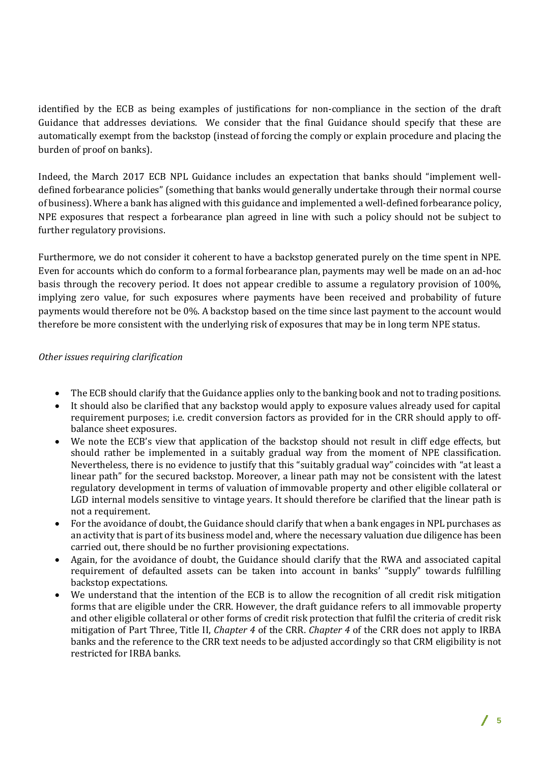identified by the ECB as being examples of justifications for non-compliance in the section of the draft Guidance that addresses deviations. We consider that the final Guidance should specify that these are automatically exempt from the backstop (instead of forcing the comply or explain procedure and placing the burden of proof on banks).

Indeed, the March 2017 ECB NPL Guidance includes an expectation that banks should "implement welldefined forbearance policies" (something that banks would generally undertake through their normal course of business). Where a bank has aligned with this guidance and implemented a well-defined forbearance policy, NPE exposures that respect a forbearance plan agreed in line with such a policy should not be subject to further regulatory provisions.

Furthermore, we do not consider it coherent to have a backstop generated purely on the time spent in NPE. Even for accounts which do conform to a formal forbearance plan, payments may well be made on an ad-hoc basis through the recovery period. It does not appear credible to assume a regulatory provision of 100%, implying zero value, for such exposures where payments have been received and probability of future payments would therefore not be 0%. A backstop based on the time since last payment to the account would therefore be more consistent with the underlying risk of exposures that may be in long term NPE status.

#### *Other issues requiring clarification*

- The ECB should clarify that the Guidance applies only to the banking book and not to trading positions.
- It should also be clarified that any backstop would apply to exposure values already used for capital requirement purposes; i.e. credit conversion factors as provided for in the CRR should apply to offbalance sheet exposures.
- We note the ECB's view that application of the backstop should not result in cliff edge effects, but should rather be implemented in a suitably gradual way from the moment of NPE classification. Nevertheless, there is no evidence to justify that this "suitably gradual way" coincides with "at least a linear path" for the secured backstop. Moreover, a linear path may not be consistent with the latest regulatory development in terms of valuation of immovable property and other eligible collateral or LGD internal models sensitive to vintage years. It should therefore be clarified that the linear path is not a requirement.
- For the avoidance of doubt, the Guidance should clarify that when a bank engages in NPL purchases as an activity that is part of its business model and, where the necessary valuation due diligence has been carried out, there should be no further provisioning expectations.
- Again, for the avoidance of doubt, the Guidance should clarify that the RWA and associated capital requirement of defaulted assets can be taken into account in banks' "supply" towards fulfilling backstop expectations.
- We understand that the intention of the ECB is to allow the recognition of all credit risk mitigation forms that are eligible under the CRR. However, the draft guidance refers to all immovable property and other eligible collateral or other forms of credit risk protection that fulfil the criteria of credit risk mitigation of Part Three, Title II, *Chapter 4* of the CRR. *Chapter 4* of the CRR does not apply to IRBA banks and the reference to the CRR text needs to be adjusted accordingly so that CRM eligibility is not restricted for IRBA banks.